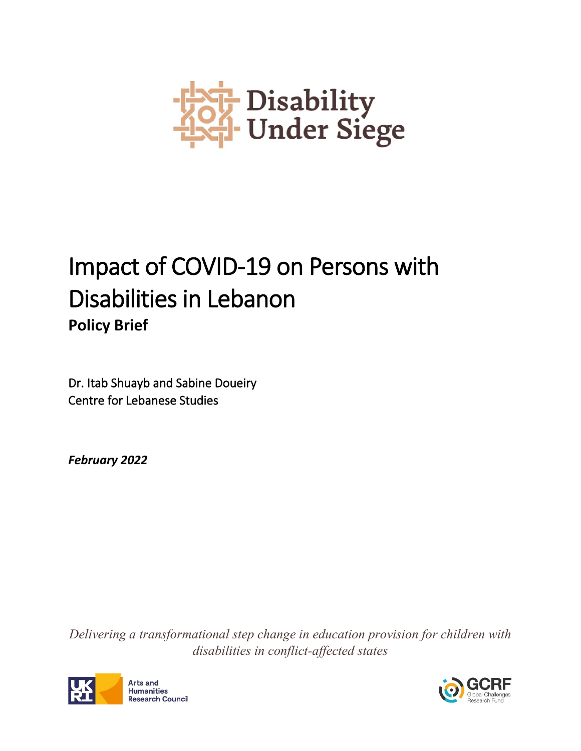

# Impact of COVID-19 on Persons with Disabilities in Lebanon **Policy Brief**

Dr. Itab Shuayb and Sabine Doueiry Centre for Lebanese Studies

*February 2022*

*Delivering a transformational step change in education provision for children with disabilities in conflict-affected states*



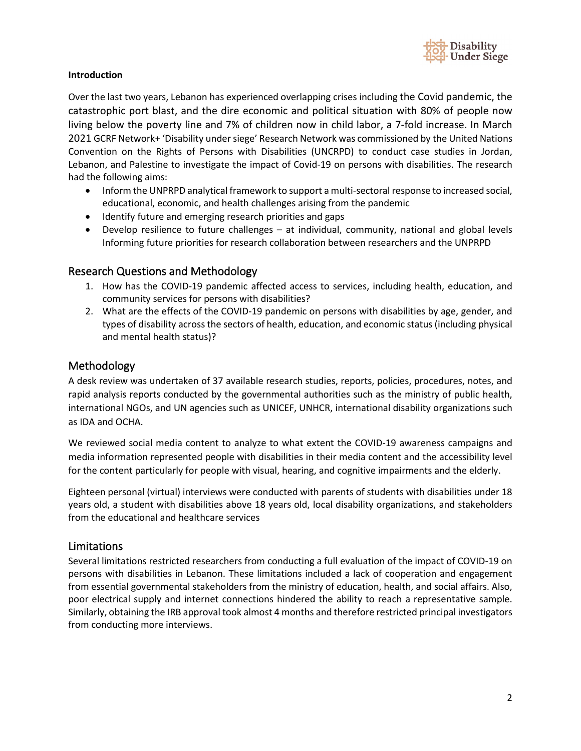

#### **Introduction**

Over the last two years, Lebanon has experienced overlapping crises including the Covid pandemic, the catastrophic port blast, and the dire economic and political situation with 80% of people now living below the poverty line and 7% of children now in child labor, a 7-fold increase. In March 2021 GCRF Network+ 'Disability under siege' Research Network was commissioned by the United Nations Convention on the Rights of Persons with Disabilities (UNCRPD) to conduct case studies in Jordan, Lebanon, and Palestine to investigate the impact of Covid-19 on persons with disabilities. The research had the following aims:

- Inform the UNPRPD analytical framework to support a multi-sectoral response to increased social, educational, economic, and health challenges arising from the pandemic
- Identify future and emerging research priorities and gaps
- Develop resilience to future challenges at individual, community, national and global levels Informing future priorities for research collaboration between researchers and the UNPRPD

#### Research Questions and Methodology

- 1. How has the COVID-19 pandemic affected access to services, including health, education, and community services for persons with disabilities?
- 2. What are the effects of the COVID-19 pandemic on persons with disabilities by age, gender, and types of disability across the sectors of health, education, and economic status (including physical and mental health status)?

## Methodology

A desk review was undertaken of 37 available research studies, reports, policies, procedures, notes, and rapid analysis reports conducted by the governmental authorities such as the ministry of public health, international NGOs, and UN agencies such as UNICEF, UNHCR, international disability organizations such as IDA and OCHA.

We reviewed social media content to analyze to what extent the COVID-19 awareness campaigns and media information represented people with disabilities in their media content and the accessibility level for the content particularly for people with visual, hearing, and cognitive impairments and the elderly.

Eighteen personal (virtual) interviews were conducted with parents of students with disabilities under 18 years old, a student with disabilities above 18 years old, local disability organizations, and stakeholders from the educational and healthcare services

#### Limitations

Several limitations restricted researchers from conducting a full evaluation of the impact of COVID-19 on persons with disabilities in Lebanon. These limitations included a lack of cooperation and engagement from essential governmental stakeholders from the ministry of education, health, and social affairs. Also, poor electrical supply and internet connections hindered the ability to reach a representative sample. Similarly, obtaining the IRB approval took almost 4 months and therefore restricted principal investigators from conducting more interviews.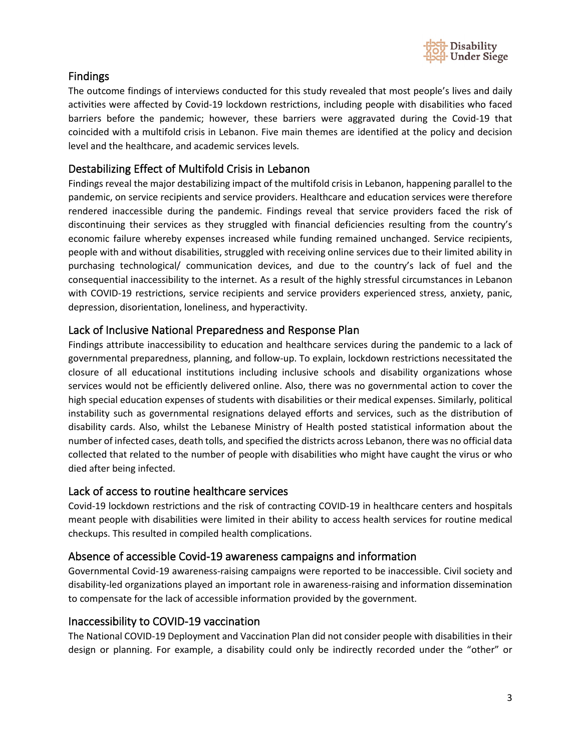

# Findings

The outcome findings of interviews conducted for this study revealed that most people's lives and daily activities were affected by Covid-19 lockdown restrictions, including people with disabilities who faced barriers before the pandemic; however, these barriers were aggravated during the Covid-19 that coincided with a multifold crisis in Lebanon. Five main themes are identified at the policy and decision level and the healthcare, and academic services levels.

# Destabilizing Effect of Multifold Crisis in Lebanon

Findings reveal the major destabilizing impact of the multifold crisis in Lebanon, happening parallel to the pandemic, on service recipients and service providers. Healthcare and education services were therefore rendered inaccessible during the pandemic. Findings reveal that service providers faced the risk of discontinuing their services as they struggled with financial deficiencies resulting from the country's economic failure whereby expenses increased while funding remained unchanged. Service recipients, people with and without disabilities, struggled with receiving online services due to their limited ability in purchasing technological/ communication devices, and due to the country's lack of fuel and the consequential inaccessibility to the internet. As a result of the highly stressful circumstances in Lebanon with COVID-19 restrictions, service recipients and service providers experienced stress, anxiety, panic, depression, disorientation, loneliness, and hyperactivity.

## Lack of Inclusive National Preparedness and Response Plan

Findings attribute inaccessibility to education and healthcare services during the pandemic to a lack of governmental preparedness, planning, and follow-up. To explain, lockdown restrictions necessitated the closure of all educational institutions including inclusive schools and disability organizations whose services would not be efficiently delivered online. Also, there was no governmental action to cover the high special education expenses of students with disabilities or their medical expenses. Similarly, political instability such as governmental resignations delayed efforts and services, such as the distribution of disability cards. Also, whilst the Lebanese Ministry of Health posted statistical information about the number of infected cases, death tolls, and specified the districts across Lebanon, there was no official data collected that related to the number of people with disabilities who might have caught the virus or who died after being infected.

## Lack of access to routine healthcare services

Covid-19 lockdown restrictions and the risk of contracting COVID-19 in healthcare centers and hospitals meant people with disabilities were limited in their ability to access health services for routine medical checkups. This resulted in compiled health complications.

## Absence of accessible Covid-19 awareness campaigns and information

Governmental Covid-19 awareness-raising campaigns were reported to be inaccessible. Civil society and disability-led organizations played an important role in awareness-raising and information dissemination to compensate for the lack of accessible information provided by the government.

## Inaccessibility to COVID-19 vaccination

The National COVID-19 Deployment and Vaccination Plan did not consider people with disabilities in their design or planning. For example, a disability could only be indirectly recorded under the "other" or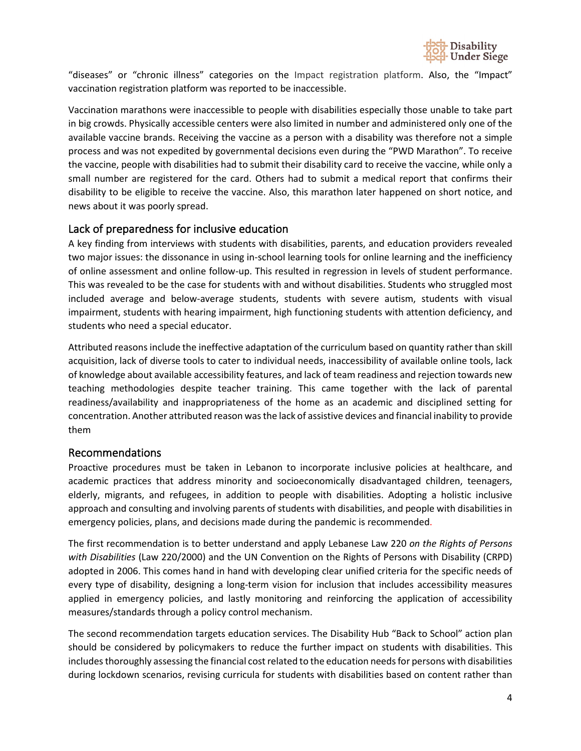

"diseases" or "chronic illness" categories on the Impact registration platform. Also, the "Impact" vaccination registration platform was reported to be inaccessible.

Vaccination marathons were inaccessible to people with disabilities especially those unable to take part in big crowds. Physically accessible centers were also limited in number and administered only one of the available vaccine brands. Receiving the vaccine as a person with a disability was therefore not a simple process and was not expedited by governmental decisions even during the "PWD Marathon". To receive the vaccine, people with disabilities had to submit their disability card to receive the vaccine, while only a small number are registered for the card. Others had to submit a medical report that confirms their disability to be eligible to receive the vaccine. Also, this marathon later happened on short notice, and news about it was poorly spread.

## Lack of preparedness for inclusive education

A key finding from interviews with students with disabilities, parents, and education providers revealed two major issues: the dissonance in using in-school learning tools for online learning and the inefficiency of online assessment and online follow-up. This resulted in regression in levels of student performance. This was revealed to be the case for students with and without disabilities. Students who struggled most included average and below-average students, students with severe autism, students with visual impairment, students with hearing impairment, high functioning students with attention deficiency, and students who need a special educator.

Attributed reasons include the ineffective adaptation of the curriculum based on quantity rather than skill acquisition, lack of diverse tools to cater to individual needs, inaccessibility of available online tools, lack of knowledge about available accessibility features, and lack of team readiness and rejection towards new teaching methodologies despite teacher training. This came together with the lack of parental readiness/availability and inappropriateness of the home as an academic and disciplined setting for concentration. Another attributed reason was the lack of assistive devices and financial inability to provide them

#### Recommendations

Proactive procedures must be taken in Lebanon to incorporate inclusive policies at healthcare, and academic practices that address minority and socioeconomically disadvantaged children, teenagers, elderly, migrants, and refugees, in addition to people with disabilities. Adopting a holistic inclusive approach and consulting and involving parents of students with disabilities, and people with disabilities in emergency policies, plans, and decisions made during the pandemic is recommended.

The first recommendation is to better understand and apply Lebanese Law 220 *on the Rights of Persons with Disabilities* (Law 220/2000) and the UN Convention on the Rights of Persons with Disability (CRPD) adopted in 2006. This comes hand in hand with developing clear unified criteria for the specific needs of every type of disability, designing a long-term vision for inclusion that includes accessibility measures applied in emergency policies, and lastly monitoring and reinforcing the application of accessibility measures/standards through a policy control mechanism.

The second recommendation targets education services. The Disability Hub "Back to School" action plan should be considered by policymakers to reduce the further impact on students with disabilities. This includes thoroughly assessing the financial cost related to the education needs for persons with disabilities during lockdown scenarios, revising curricula for students with disabilities based on content rather than